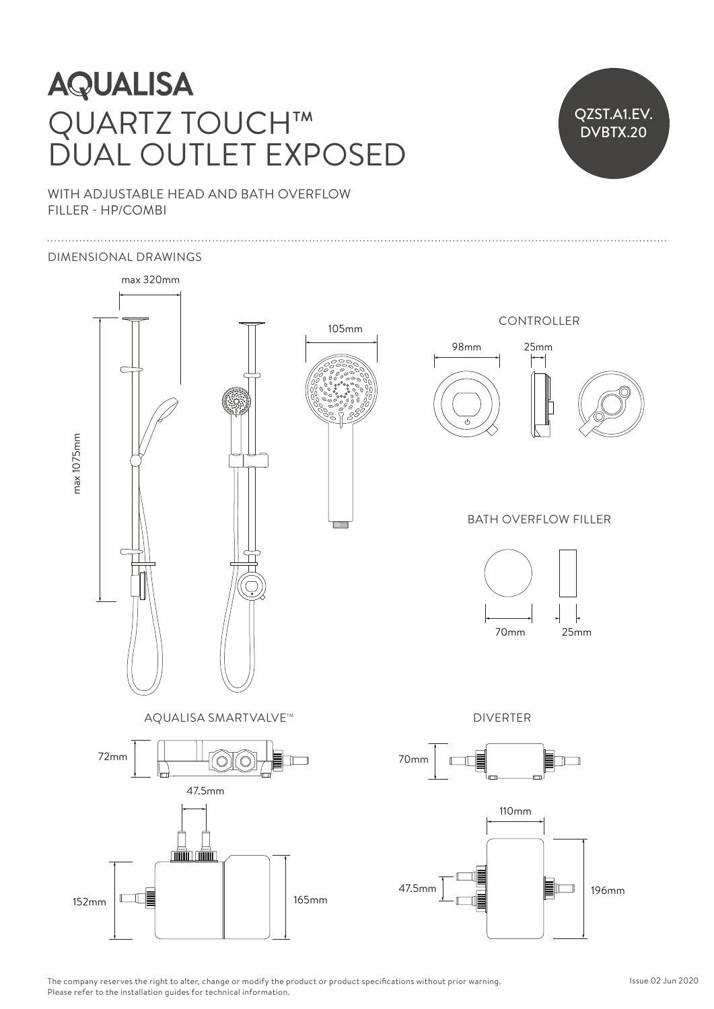### **AQUALISA**  $\frac{1}{2}$ QUARTZ TOUCH™ DUAL OUTLET EXPOSED

### QZST.A1.EV. DVBTX.20 25mm 70mm

WITH ADJUSTABLE HEAD AND BATH OVERFLOW FILLER - HP/COMBI

### DIMENSIONAL DRAWINGS



The company reserves the right to alter, change or modify the product or product specifications without prior warning. Please refer to the installation guides for technical information.